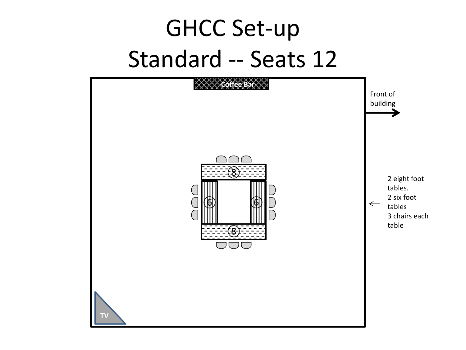#### GHCC Set-up Standard -- Seats 12

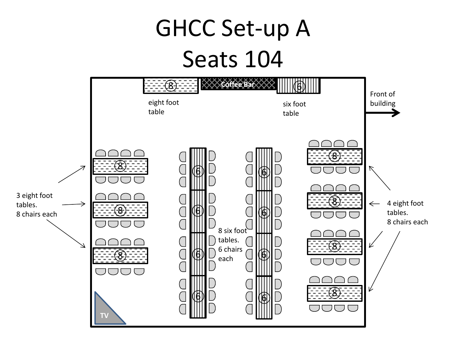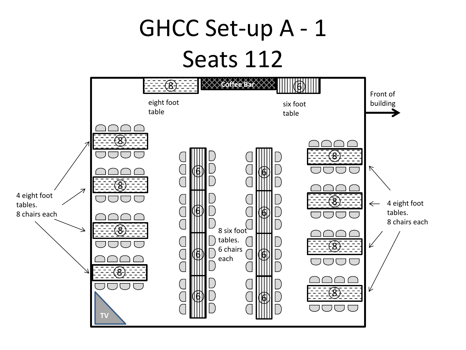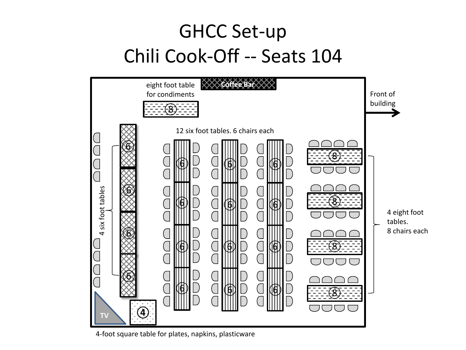#### GHCC Set-up Chili Cook-Off -- Seats 104



4-foot square table for plates, napkins, plasticware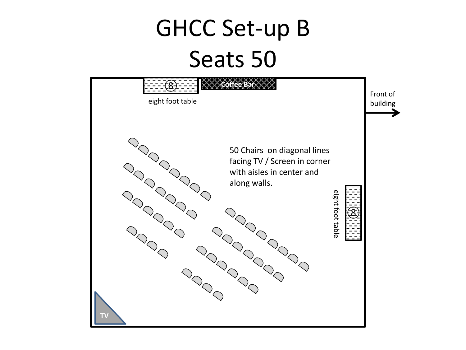### GHCC Set-up B Seats 50

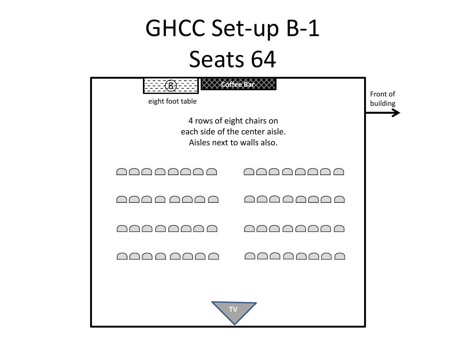## GHCC Set-up B-1 Seats 64

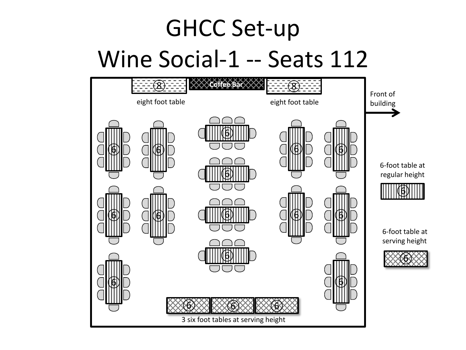## GHCC Set-up Wine Social-1 -- Seats 112

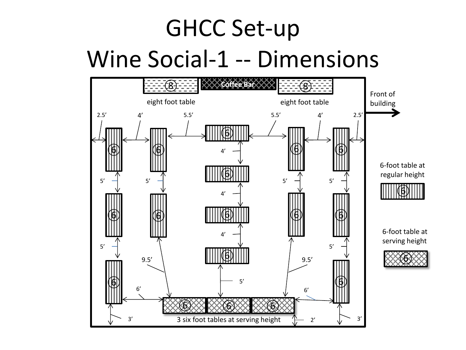## GHCC Set-up Wine Social-1 -- Dimensions

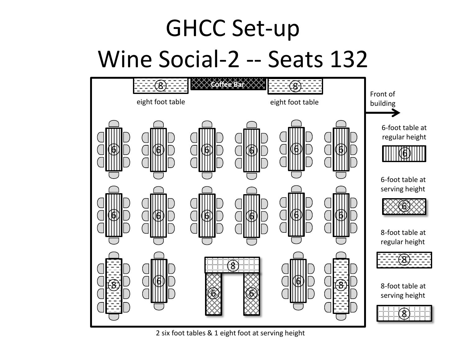# GHCC Set-up Wine Social-2 -- Seats 132



2 six foot tables & 1 eight foot at serving height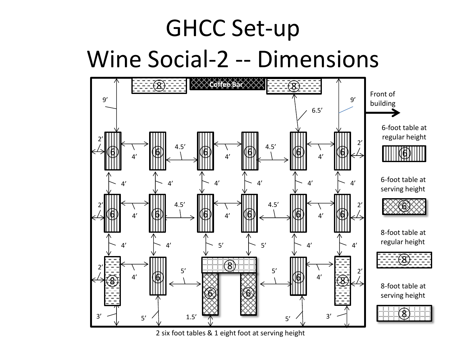## GHCC Set-up Wine Social-2 -- Dimensions



2 six foot tables & 1 eight foot at serving height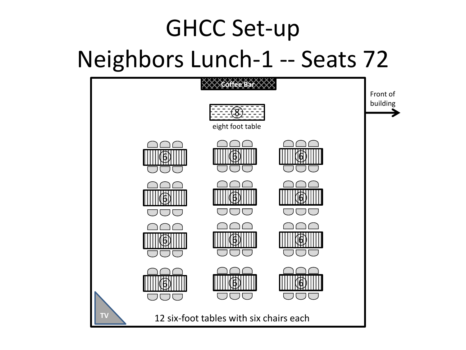# GHCC Set-up Neighbors Lunch-1 -- Seats 72

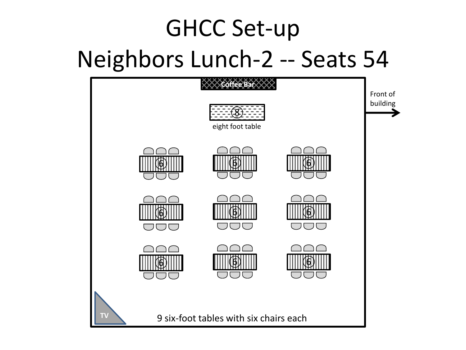# GHCC Set-up Neighbors Lunch-2 -- Seats 54

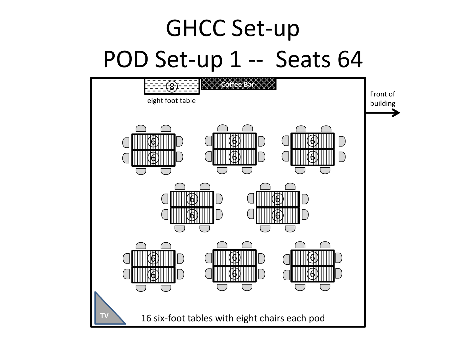## GHCC Set-up POD Set-up 1 -- Seats 64

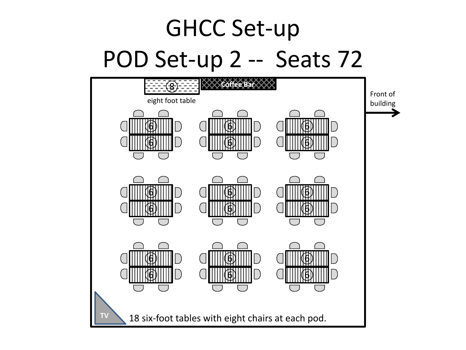## GHCC Set-up POD Set-up 2 -- Seats 72